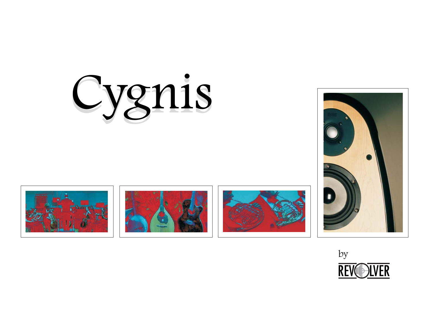









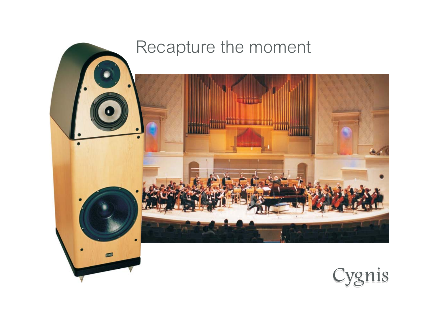

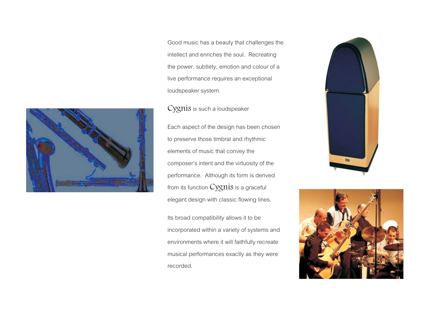Good music has a beauty that challenges the intellect and enriches the soul. Recreating the power, subtlety, emotion and colour of a live performance requires an exceptional loudspeaker system.

is such a loudspeaker  $\overline{\phantom{a}}$ 



Its broad compatibility allows it to be incorporated within a variety of systems and environments where it will faithfully recreate musical performances exactly as they were recorded.





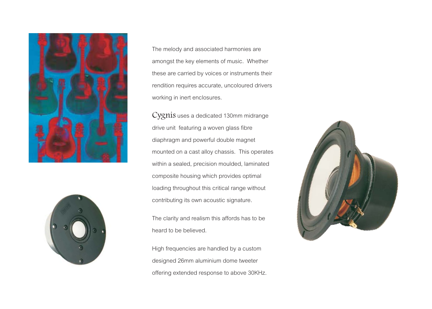



The melody and associated harmonies are amongst the key elements of music. Whether these are carried by voices or instruments their rendition requires accurate, uncoloured drivers working in inert enclosures.

Cygnis uses a dedicated 130mm midrange drive unit featuring a woven glass fibre diaphragm and powerful double magnet mounted on a cast alloy chassis. This operates within a sealed, precision moulded, laminated composite housing which provides optimal loading throughout this critical range without contributing its own acoustic signature.

The clarity and realism this affords has to be heard to be believed.

High frequencies are handled by a custom designed 26mm aluminium dome tweeter offering extended response to above 30KHz.

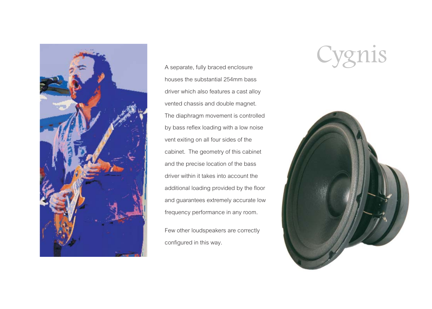

A separate, fully braced enclosure houses the substantial 254mm bass driver which also features a cast alloy vented chassis and double magnet. The diaphragm movement is controlled by bass reflex loading with a low noise vent exiting on all four sides of the cabinet. The geometry of this cabinet and the precise location of the bass driver within it takes into account the additional loading provided by the floor and guarantees extremely accurate low frequency performance in any room.

Few other loudspeakers are correctly configured in this way.

## Cygnis

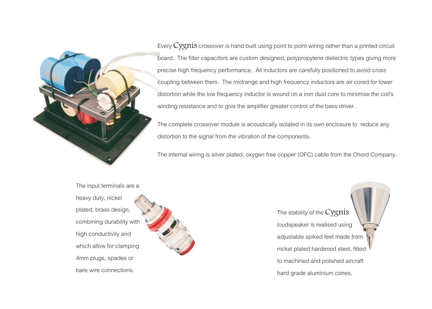

Every  $Cyznis$  crossover is hand built using point to point wiring rather than a printed circuit board. The filter capacitors are custom designed, polypropylene dielectric types giving more<br>Cygnisms are custom designed, polypropylene dielectric types giving more precise high frequency performance. All inductors are carefully positioned to avoid cross coupling between them. The midrange and high frequency inductors are air cored for lower distortion while the low frequency inductor is wound on a iron dust core to minimise the coil's winding resistance and to give the amplifier greater control of the bass driver.

The complete crossover module is acoustically isolated in its own enclosure to reduce any distortion to the signal from the vibration of the components.

The internal wiring is silver plated, oxygen free copper (OFC) cable from the Chord Company.

The input terminals are a heavy duty, nickel plated, brass design, combining durability with high conductivity and which allow for clamping 4mm plugs, spades or bare wire connections.



The stability of the Cygnis loudspeaker is realised using adjustable spiked feet made from nickel plated hardened steel, fitted to machined and polished aircraft hard grade aluminium cones.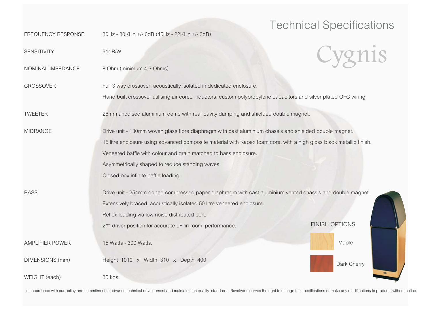## Technical Specifications

| <b>FREQUENCY RESPONSE</b> | 30Hz - 30KHz +/- 6dB (45Hz - 22KHz +/- 3dB)                                                                         |                       |
|---------------------------|---------------------------------------------------------------------------------------------------------------------|-----------------------|
| SENSITIVITY               | 91dB/W                                                                                                              |                       |
| NOMINAL IMPEDANCE         | 8 Ohm (minimum 4.3 Ohms)                                                                                            |                       |
| <b>CROSSOVER</b>          | Full 3 way crossover, acoustically isolated in dedicated enclosure.                                                 |                       |
|                           | Hand built crossover utilising air cored inductors, custom polypropylene capacitors and silver plated OFC wiring.   |                       |
| <b>TWEETER</b>            | 26mm anodised aluminium dome with rear cavity damping and shielded double magnet.                                   |                       |
| <b>MIDRANGE</b>           | Drive unit - 130mm woven glass fibre diaphragm with cast aluminium chassis and shielded double magnet.              |                       |
|                           | 15 litre enclosure using advanced composite material with Kapex foam core, with a high gloss black metallic finish. |                       |
|                           | Veneered baffle with colour and grain matched to bass enclosure.                                                    |                       |
|                           | Asymmetrically shaped to reduce standing waves.                                                                     |                       |
|                           | Closed box infinite baffle loading.                                                                                 |                       |
| <b>BASS</b>               | Drive unit - 254mm doped compressed paper diaphragm with cast aluminium vented chassis and double magnet.           |                       |
|                           | Extensively braced, acoustically isolated 50 litre veneered enclosure.                                              |                       |
|                           | Reflex loading via low noise distributed port.                                                                      |                       |
|                           | 2 $\pi$ driver position for accurate LF 'in room' performance.                                                      | <b>FINISH OPTIONS</b> |
| AMPLIFIER POWER           | 15 Watts - 300 Watts.                                                                                               | Maple                 |
| DIMENSIONS (mm)           | Height 1010 x Width 310 x Depth 400                                                                                 | Dark Cherry           |
| WEIGHT (each)             | 35 kgs                                                                                                              |                       |

In accordance with our policy and commitment to advance technical development and maintain high quality standards, Revolver reserves the right to change the specifications or make any modifications to products without noti